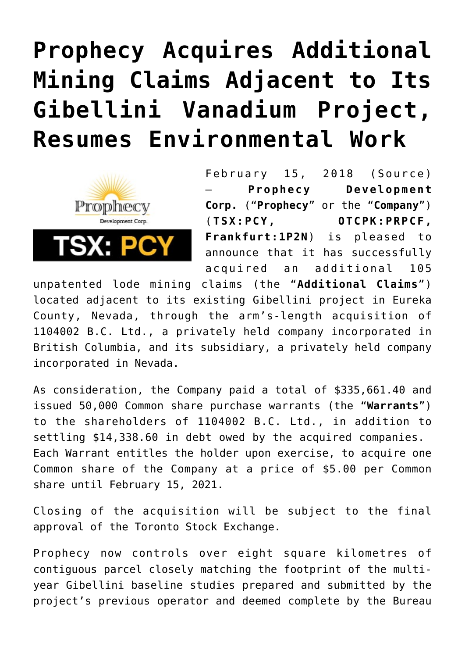## **[Prophecy Acquires Additional](https://investorintel.com/markets/technology-metals/technology-metals-news/prophecy-acquires-additional-mining-claims-adjacent-gibellini-vanadium-project-resumes-environmental-work/) [Mining Claims Adjacent to Its](https://investorintel.com/markets/technology-metals/technology-metals-news/prophecy-acquires-additional-mining-claims-adjacent-gibellini-vanadium-project-resumes-environmental-work/) [Gibellini Vanadium Project,](https://investorintel.com/markets/technology-metals/technology-metals-news/prophecy-acquires-additional-mining-claims-adjacent-gibellini-vanadium-project-resumes-environmental-work/) [Resumes Environmental Work](https://investorintel.com/markets/technology-metals/technology-metals-news/prophecy-acquires-additional-mining-claims-adjacent-gibellini-vanadium-project-resumes-environmental-work/)**



February 15, 2018 ([Source\)](https://investorintel.com/iintel-members/prophecy-development-corp/) — **Prophecy Development Corp.** ("**Prophecy**" or the "**Company**") (**TSX:PCY, OTCPK:PRPCF, Frankfurt:1P2N**) is pleased to announce that it has successfully acquired an additional 105

unpatented lode mining claims (the "**Additional Claims**") located adjacent to its existing Gibellini project in Eureka County, Nevada, through the arm's-length acquisition of 1104002 B.C. Ltd., a privately held company incorporated in British Columbia, and its subsidiary, a privately held company incorporated in Nevada.

As consideration, the Company paid a total of \$335,661.40 and issued 50,000 Common share purchase warrants (the "**Warrants**") to the shareholders of 1104002 B.C. Ltd., in addition to settling \$14,338.60 in debt owed by the acquired companies. Each Warrant entitles the holder upon exercise, to acquire one Common share of the Company at a price of \$5.00 per Common share until February 15, 2021.

Closing of the acquisition will be subject to the final approval of the Toronto Stock Exchange.

Prophecy now controls over eight square kilometres of contiguous parcel closely matching the footprint of the multiyear Gibellini baseline studies prepared and submitted by the project's previous operator and deemed complete by the Bureau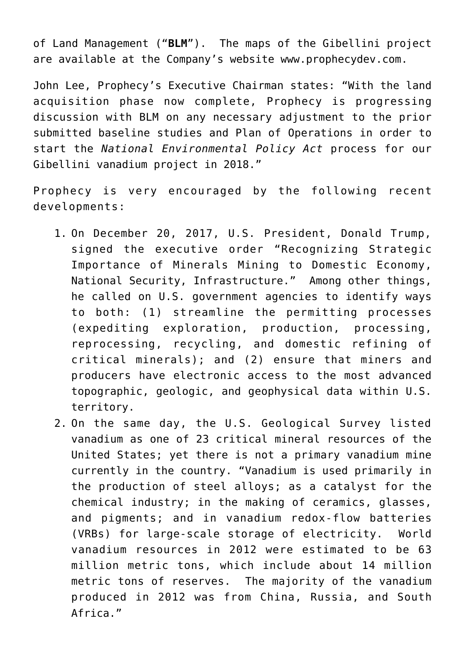of Land Management ("**BLM**"). The maps of the Gibellini project are available at the Company's website [www.prophecydev.com.](http://www.prophecydev.com/)

John Lee, Prophecy's Executive Chairman states: "With the land acquisition phase now complete, Prophecy is progressing discussion with BLM on any necessary adjustment to the prior submitted baseline studies and Plan of Operations in order to start the *National Environmental Policy Act* process for our Gibellini vanadium project in 2018."

Prophecy is very encouraged by the following recent developments:

- 1. On December 20, 2017, U.S. President, Donald Trump, signed the executive order "Recognizing Strategic Importance of Minerals Mining to Domestic Economy, National Security, Infrastructure." Among other things, he called on U.S. government agencies to identify ways to both: (1) streamline the permitting processes (expediting exploration, production, processing, reprocessing, recycling, and domestic refining of critical minerals); and (2) ensure that miners and producers have electronic access to the most advanced topographic, geologic, and geophysical data within U.S. territory.
- 2. On the same day, the U.S. Geological Survey listed vanadium as one of 23 critical mineral resources of the United States; yet there is not a primary vanadium mine currently in the country. "Vanadium is used primarily in the production of steel alloys; as a catalyst for the chemical industry; in the making of ceramics, glasses, and pigments; and in vanadium redox-flow batteries (VRBs) for large-scale storage of electricity. World vanadium resources in 2012 were estimated to be 63 million metric tons, which include about 14 million metric tons of reserves. The majority of the vanadium produced in 2012 was from China, Russia, and South Africa."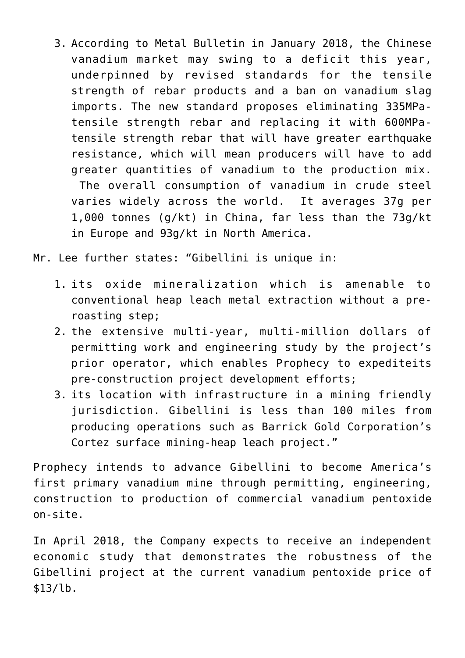3. According to Metal Bulletin in January 2018, the Chinese vanadium market may swing to a deficit this year, underpinned by revised standards for the tensile strength of rebar products and a ban on vanadium slag imports. The new standard proposes eliminating 335MPatensile strength rebar and replacing it with 600MPatensile strength rebar that will have greater earthquake resistance, which will mean producers will have to add greater quantities of vanadium to the production mix. The overall consumption of vanadium in crude steel varies widely across the world. It averages 37g per 1,000 tonnes (g/kt) in China, far less than the 73g/kt in Europe and 93g/kt in North America.

Mr. Lee further states: "Gibellini is unique in:

- 1. its oxide mineralization which is amenable to conventional heap leach metal extraction without a preroasting step;
- 2. the extensive multi-year, multi-million dollars of permitting work and engineering study by the project's prior operator, which enables Prophecy to expediteits pre-construction project development efforts;
- 3. its location with infrastructure in a mining friendly jurisdiction. Gibellini is less than 100 miles from producing operations such as Barrick Gold Corporation's Cortez surface mining-heap leach project."

Prophecy intends to advance Gibellini to become America's first primary vanadium mine through permitting, engineering, construction to production of commercial vanadium pentoxide on-site.

In April 2018, the Company expects to receive an independent economic study that demonstrates the robustness of the Gibellini project at the current vanadium pentoxide price of \$13/lb.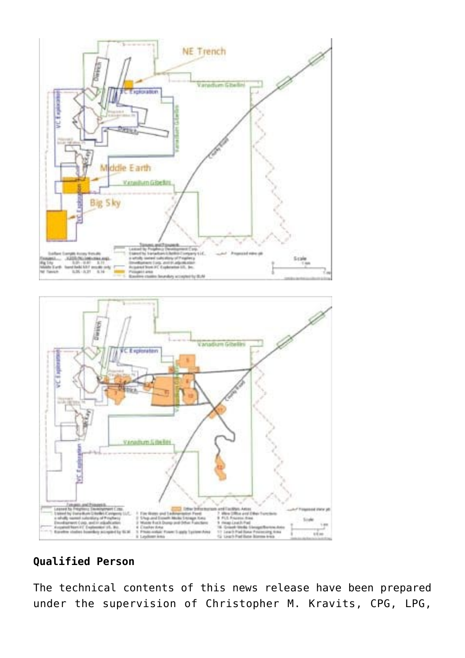

## **Qualified Person**

The technical contents of this news release have been prepared under the supervision of Christopher M. Kravits, CPG, LPG,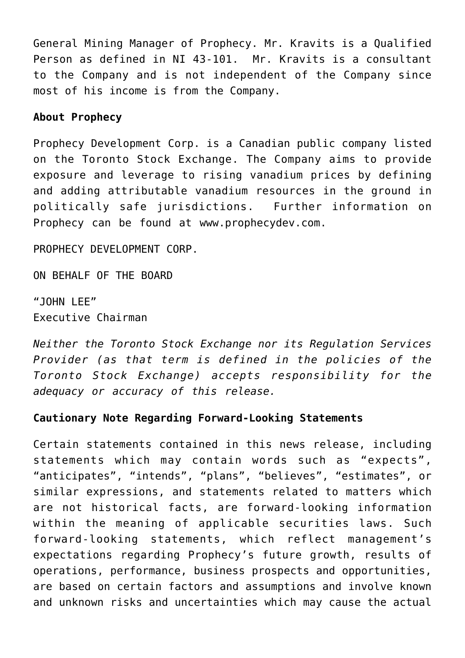General Mining Manager of Prophecy. Mr. Kravits is a Qualified Person as defined in NI 43-101. Mr. Kravits is a consultant to the Company and is not independent of the Company since most of his income is from the Company.

## **About Prophecy**

Prophecy Development Corp. is a Canadian public company listed on the Toronto Stock Exchange. The Company aims to provide exposure and leverage to rising vanadium prices by defining and adding attributable vanadium resources in the ground in politically safe jurisdictions. Further information on Prophecy can be found at [www.prophecydev.com](http://www.prophecydev.com/).

PROPHECY DEVELOPMENT CORP.

ON BEHALF OF THE BOARD

"JOHN LEE" Executive Chairman

*Neither the Toronto Stock Exchange nor its Regulation Services Provider (as that term is defined in the policies of the Toronto Stock Exchange) accepts responsibility for the adequacy or accuracy of this release.*

## **Cautionary Note Regarding Forward-Looking Statements**

Certain statements contained in this news release, including statements which may contain words such as "expects", "anticipates", "intends", "plans", "believes", "estimates", or similar expressions, and statements related to matters which are not historical facts, are forward-looking information within the meaning of applicable securities laws. Such forward-looking statements, which reflect management's expectations regarding Prophecy's future growth, results of operations, performance, business prospects and opportunities, are based on certain factors and assumptions and involve known and unknown risks and uncertainties which may cause the actual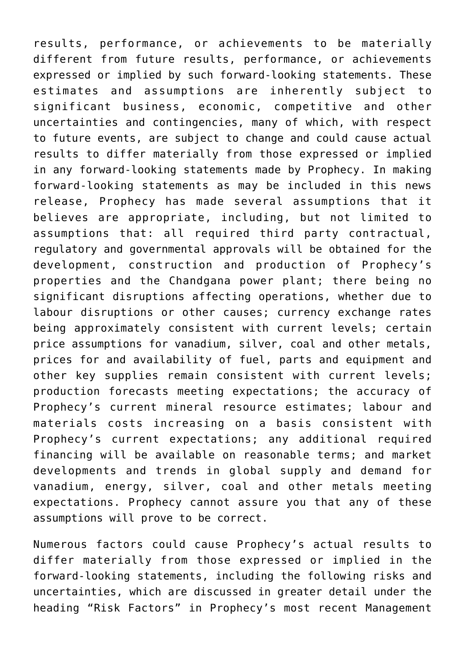results, performance, or achievements to be materially different from future results, performance, or achievements expressed or implied by such forward-looking statements. These estimates and assumptions are inherently subject to significant business, economic, competitive and other uncertainties and contingencies, many of which, with respect to future events, are subject to change and could cause actual results to differ materially from those expressed or implied in any forward-looking statements made by Prophecy. In making forward-looking statements as may be included in this news release, Prophecy has made several assumptions that it believes are appropriate, including, but not limited to assumptions that: all required third party contractual, regulatory and governmental approvals will be obtained for the development, construction and production of Prophecy's properties and the Chandgana power plant; there being no significant disruptions affecting operations, whether due to labour disruptions or other causes; currency exchange rates being approximately consistent with current levels; certain price assumptions for vanadium, silver, coal and other metals, prices for and availability of fuel, parts and equipment and other key supplies remain consistent with current levels; production forecasts meeting expectations; the accuracy of Prophecy's current mineral resource estimates; labour and materials costs increasing on a basis consistent with Prophecy's current expectations; any additional required financing will be available on reasonable terms; and market developments and trends in global supply and demand for vanadium, energy, silver, coal and other metals meeting expectations. Prophecy cannot assure you that any of these assumptions will prove to be correct.

Numerous factors could cause Prophecy's actual results to differ materially from those expressed or implied in the forward-looking statements, including the following risks and uncertainties, which are discussed in greater detail under the heading "Risk Factors" in Prophecy's most recent Management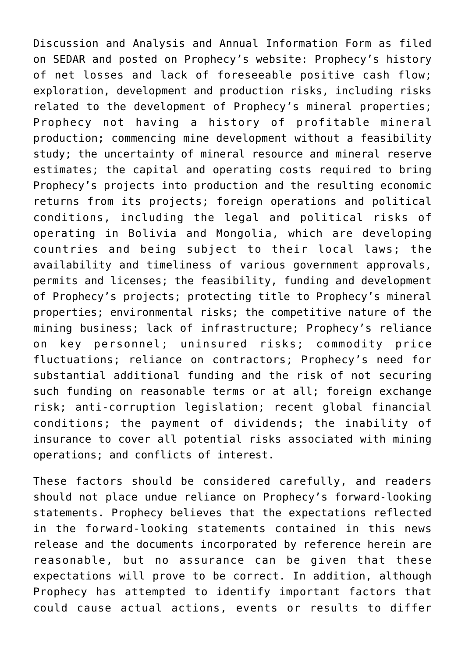Discussion and Analysis and Annual Information Form as filed on SEDAR and posted on Prophecy's website: Prophecy's history of net losses and lack of foreseeable positive cash flow; exploration, development and production risks, including risks related to the development of Prophecy's mineral properties; Prophecy not having a history of profitable mineral production; commencing mine development without a feasibility study; the uncertainty of mineral resource and mineral reserve estimates; the capital and operating costs required to bring Prophecy's projects into production and the resulting economic returns from its projects; foreign operations and political conditions, including the legal and political risks of operating in Bolivia and Mongolia, which are developing countries and being subject to their local laws; the availability and timeliness of various government approvals, permits and licenses; the feasibility, funding and development of Prophecy's projects; protecting title to Prophecy's mineral properties; environmental risks; the competitive nature of the mining business; lack of infrastructure; Prophecy's reliance on key personnel; uninsured risks; commodity price fluctuations; reliance on contractors; Prophecy's need for substantial additional funding and the risk of not securing such funding on reasonable terms or at all; foreign exchange risk; anti-corruption legislation; recent global financial conditions; the payment of dividends; the inability of insurance to cover all potential risks associated with mining operations; and conflicts of interest.

These factors should be considered carefully, and readers should not place undue reliance on Prophecy's forward-looking statements. Prophecy believes that the expectations reflected in the forward-looking statements contained in this news release and the documents incorporated by reference herein are reasonable, but no assurance can be given that these expectations will prove to be correct. In addition, although Prophecy has attempted to identify important factors that could cause actual actions, events or results to differ